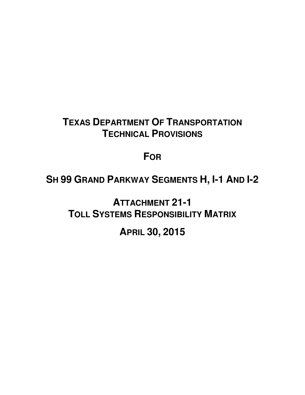## **TEXAS DEPARTMENT OF TRANSPORTATION TECHNICAL PROVISIONS**

## **FOR**

# **SH 99 GRAND PARKWAY SEGMENTS H, I-1 AND I-2**

**ATTACHMENT 21-1 TOLL SYSTEMS RESPONSIBILITY MATRIX**

## **APRIL 30, 2015**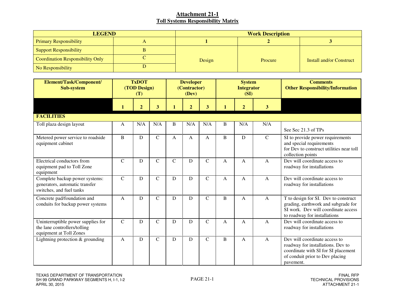| <b>LEGEND</b>                    | <b>Work Description</b> |         |                          |  |  |  |
|----------------------------------|-------------------------|---------|--------------------------|--|--|--|
| <b>Primary Responsibility</b>    |                         |         |                          |  |  |  |
| <b>Support Responsibility</b>    |                         |         |                          |  |  |  |
| Coordination Responsibility Only | Design                  | Procure | Install and/or Construct |  |  |  |
| No Responsibility                |                         |         |                          |  |  |  |

| Element/Task/Component/<br><b>Sub-system</b>                                                  | <b>TxDOT</b><br>(TOD Design)<br>(T) |                |                         |             | <b>Developer</b><br>(Contractor)<br>(Dev) |              |              | <b>System</b><br><b>Integrator</b><br>(SI) |                 | <b>Comments</b><br><b>Other Responsibility/Information</b>                                                                                                |
|-----------------------------------------------------------------------------------------------|-------------------------------------|----------------|-------------------------|-------------|-------------------------------------------|--------------|--------------|--------------------------------------------|-----------------|-----------------------------------------------------------------------------------------------------------------------------------------------------------|
|                                                                                               | 1                                   | $\overline{2}$ | $\overline{\mathbf{3}}$ | 1           | $\overline{2}$                            | $\mathbf{3}$ | $\mathbf{1}$ | $\overline{2}$                             | $3\overline{)}$ |                                                                                                                                                           |
| <b>FACILITIES</b>                                                                             |                                     |                |                         |             |                                           |              |              |                                            |                 |                                                                                                                                                           |
| Toll plaza design layout                                                                      | A                                   | N/A            | N/A                     | B           | N/A                                       | N/A          | B            | N/A                                        | N/A             | See Sec 21.3 of TPs                                                                                                                                       |
| Metered power service to roadside<br>equipment cabinet                                        | B                                   | D              | $\mathbf C$             | A           | $\mathsf{A}$                              | A            | B            | D                                          | $\mathsf{C}$    | SI to provide power requirements<br>and special requirements<br>for Dev to construct utilities near toll<br>collection points                             |
| Electrical conductors from<br>equipment pad to Toll Zone<br>equipment                         | $\mathbf C$                         | D              | $\mathbf C$             | $\mathbf C$ | D                                         | $\mathbf C$  | A            | A                                          | A               | Dev will coordinate access to<br>roadway for installations                                                                                                |
| Complete backup power systems:<br>generators, automatic transfer<br>switches, and fuel tanks  | $\mathbf C$                         | D              | $\mathbf C$             | D           | D                                         | $\mathsf{C}$ | A            | A                                          | A               | Dev will coordinate access to<br>roadway for installations                                                                                                |
| Concrete pad/foundation and<br>conduits for backup power systems                              | $\mathsf{A}$                        | D              | $\overline{C}$          | ${\bf D}$   | $\mathbf D$                               | $\mathbf C$  | B            | A                                          | $\mathbf{A}$    | T to design for SI. Dev to construct<br>grading, earthwork and subgrade for<br>SI work. Dev will coordinate access<br>to roadway for installations        |
| Uninterruptible power supplies for<br>the lane controllers/tolling<br>equipment at Toll Zones | $\mathsf{C}$                        | D              | $\mathbf C$             | D           | D                                         | $\mathbf C$  | A            | A                                          | A               | Dev will coordinate access to<br>roadway for installations                                                                                                |
| Lightning protection $&$ grounding                                                            | $\mathbf{A}$                        | D              | $\mathbf C$             | D           | D                                         | $\mathbf C$  | B            | $\mathbf{A}$                               | $\mathbf{A}$    | Dev will coordinate access to<br>roadway for installations. Dev to<br>coordinate with SI for SI placement<br>of conduit prior to Dev placing<br>pavement. |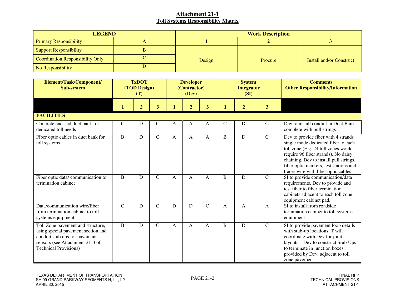| <b>LEGEND</b>                           | <b>Work Description</b> |         |                          |  |  |  |
|-----------------------------------------|-------------------------|---------|--------------------------|--|--|--|
| <b>Primary Responsibility</b>           |                         |         |                          |  |  |  |
| <b>Support Responsibility</b>           |                         |         |                          |  |  |  |
| <b>Coordination Responsibility Only</b> | Design                  | Procure | Install and/or Construct |  |  |  |
| No Responsibility                       |                         |         |                          |  |  |  |

| Element/Task/Component/<br><b>Sub-system</b>                                                                                                                                | <b>TxDOT</b><br>(TOD Design)<br>(T) |                |                |              | <b>Developer</b><br>(Contractor)<br>(Dev) |               |              | <b>System</b><br><b>Integrator</b><br>(SI) |                | <b>Comments</b><br><b>Other Responsibility/Information</b>                                                                                                                                                                                                                          |
|-----------------------------------------------------------------------------------------------------------------------------------------------------------------------------|-------------------------------------|----------------|----------------|--------------|-------------------------------------------|---------------|--------------|--------------------------------------------|----------------|-------------------------------------------------------------------------------------------------------------------------------------------------------------------------------------------------------------------------------------------------------------------------------------|
|                                                                                                                                                                             | $\mathbf{1}$                        | $\overline{2}$ | 3              | $\mathbf{1}$ | $\overline{2}$                            | 3             |              | $\overline{2}$                             | 3 <sup>2</sup> |                                                                                                                                                                                                                                                                                     |
| <b>FACILITIES</b>                                                                                                                                                           |                                     |                |                |              |                                           |               |              |                                            |                |                                                                                                                                                                                                                                                                                     |
| Concrete encased duct bank for<br>dedicated toll needs                                                                                                                      | $\mathsf{C}$                        | D              | $\mathbf C$    | A            | A                                         | А             | $\mathbf C$  | D                                          | $\mathbf C$    | Dev to install conduit in Duct Bank<br>complete with pull strings                                                                                                                                                                                                                   |
| Fiber optic cables in duct bank for<br>toll systems                                                                                                                         | $\, {\bf B}$                        | D              | $\overline{C}$ | A            | A                                         | A             | B            | D                                          | $\overline{C}$ | Dev to provide fiber with 4 strands<br>single mode dedicated fiber to each<br>toll zone (E.g. 24 toll zones would<br>require 96 fiber strands). No daisy<br>chaining. Dev to install pull strings,<br>fiber optic markers, test stations and<br>tracer wire with fiber optic cables |
| Fiber optic data/communication to<br>termination cabinet                                                                                                                    | $\mathbf B$                         | D              | $\mathsf{C}$   | A            | A                                         | A             | B            | D                                          | $\mathsf{C}$   | SI to provide communication/data<br>requirements. Dev to provide and<br>test fiber to fiber termination<br>cabinets adjacent to each toll zone<br>equipment cabinet pad.                                                                                                            |
| Data/communication wire/fiber<br>from termination cabinet to toll<br>systems equipment                                                                                      | $\mathcal{C}$                       | D              | $\mathbf C$    | D            | D                                         | $\mathcal{C}$ | $\mathsf{A}$ | $\mathsf{A}$                               | $\mathbf{A}$   | SI to install from roadside<br>termination cabinet to toll systems<br>equipment                                                                                                                                                                                                     |
| Toll Zone pavement and structure,<br>using special pavement section and<br>conduit stub ups for pavement<br>sensors (see Attachment 21-3 of<br><b>Technical Provisions)</b> | B                                   | D              | $\mathbf C$    | A            | A                                         | A             | B            | D                                          | $\overline{C}$ | SI to provide pavement loop details<br>with stub-up locations. T will<br>coordinate with Dev for joint<br>layouts. Dev to construct Stub Ups<br>to terminate in junction boxes,<br>provided by Dev, adjacent to toll<br>zone pavement                                               |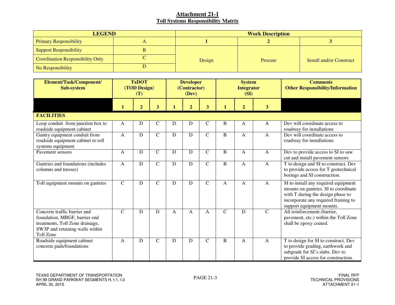| <b>LEGEND</b>                    | <b>Work Description</b> |         |                          |  |  |  |
|----------------------------------|-------------------------|---------|--------------------------|--|--|--|
| <b>Primary Responsibility</b>    |                         |         |                          |  |  |  |
| <b>Support Responsibility</b>    |                         |         |                          |  |  |  |
| Coordination Responsibility Only | Design                  | Procure | Install and/or Construct |  |  |  |
| No Responsibility                |                         |         |                          |  |  |  |

| Element/Task/Component/<br>Sub-system                                                                                                            | <b>TxDOT</b><br>(TOD Design)<br>(T) |                |                         | <b>Developer</b><br>(Contractor)<br>(Dev) |                | <b>System</b><br><b>Integrator</b><br>(SI) |               |                | <b>Comments</b><br><b>Other Responsibility/Information</b> |                                                                                                                                                                                       |
|--------------------------------------------------------------------------------------------------------------------------------------------------|-------------------------------------|----------------|-------------------------|-------------------------------------------|----------------|--------------------------------------------|---------------|----------------|------------------------------------------------------------|---------------------------------------------------------------------------------------------------------------------------------------------------------------------------------------|
|                                                                                                                                                  | 1                                   | $\overline{2}$ | $\overline{\mathbf{3}}$ | 1                                         | $\overline{2}$ | 3                                          |               | $\overline{2}$ | 3                                                          |                                                                                                                                                                                       |
| <b>FACILITIES</b>                                                                                                                                |                                     |                |                         |                                           |                |                                            |               |                |                                                            |                                                                                                                                                                                       |
| Loop conduit from junction box to<br>roadside equipment cabinet                                                                                  | $\mathbf{A}$                        | D              | $\mathsf C$             | D                                         | D              | $\mathsf{C}$                               | B             | A              | $\mathbf{A}$                                               | Dev will coordinate access to<br>roadway for installations                                                                                                                            |
| Gantry equipment conduit from<br>roadside equipment cabinet to toll<br>systems equipment                                                         | $\mathbf{A}$                        | $\mathbf D$    | $\mathbf C$             | ${\bf D}$                                 | D              | $\mathsf{C}$                               | B             | $\mathbf{A}$   | $\mathbf{A}$                                               | Dev will coordinate access to<br>roadway for installations                                                                                                                            |
| Payement sensors                                                                                                                                 | $\mathbf{A}$                        | D              | $\mathbf C$             | D                                         | D              | $\mathbf C$                                | B             | $\mathsf{A}$   | $\mathbf{A}$                                               | Dev to provide access to SI to saw<br>cut and install pavement sensors                                                                                                                |
| Gantries and foundations (includes<br>columns and trusses)                                                                                       | $\mathbf{A}$                        | D              | $\mathcal{C}$           | D                                         | D              | $\mathsf{C}$                               | B             | $\mathsf{A}$   | $\mathbf{A}$                                               | T to design and SI to construct. Dev<br>to provide access for T geotechnical<br>borings and SI construction.                                                                          |
| Toll equipment mounts on gantries                                                                                                                | $\mathbf C$                         | D              | $\mathbf C$             | D                                         | D              | $\mathsf{C}$                               | A             | A              | $\mathbf{A}$                                               | SI to install any required equipment<br>mounts on gantries. SI to coordinate<br>with T during the design phase to<br>incorporate any required framing to<br>support equipment mounts. |
| Concrete traffic barrier and<br>foundation, MBGF, barrier end<br>treatments, Toll Zone drainage,<br>SW3P and retaining walls within<br>Toll Zone | $\mathcal{C}$                       | D              | D                       | A                                         | $\mathbf{A}$   | A                                          | $\mathcal{C}$ | D              | $\mathcal{C}$                                              | All reinforcement (barrier,<br>pavement, etc.) within the Toll Zone<br>shall be epoxy coated.                                                                                         |
| Roadside equipment cabinet<br>concrete pads/foundations                                                                                          | $\mathbf{A}$                        | D              | $\mathcal{C}$           | ${\bf D}$                                 | D              | $\mathbf C$                                | B             | A              | $\mathbf{A}$                                               | T to design for SI to construct. Dev<br>to provide grading, earthwork and<br>subgrade for SI's slabs. Dev to<br>provide SI access for construction.                                   |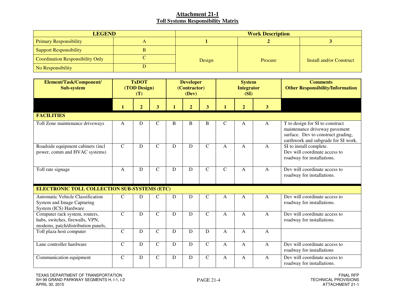| <b>LEGEND</b>                    | <b>Work Description</b> |         |                          |  |  |  |
|----------------------------------|-------------------------|---------|--------------------------|--|--|--|
| <b>Primary Responsibility</b>    |                         |         |                          |  |  |  |
| <b>Support Responsibility</b>    |                         |         |                          |  |  |  |
| Coordination Responsibility Only | Design                  | Procure | Install and/or Construct |  |  |  |
| No Responsibility                |                         |         |                          |  |  |  |

| Element/Task/Component/<br><b>Sub-system</b>                                                            | <b>TxDOT</b><br>(TOD Design)<br>(T) |                |                         | <b>Developer</b><br>(Contractor)<br>(Dev) |                | <b>System</b><br><b>Integrator</b><br>(SI) |               |                | <b>Comments</b><br><b>Other Responsibility/Information</b> |                                                                                                                                               |
|---------------------------------------------------------------------------------------------------------|-------------------------------------|----------------|-------------------------|-------------------------------------------|----------------|--------------------------------------------|---------------|----------------|------------------------------------------------------------|-----------------------------------------------------------------------------------------------------------------------------------------------|
|                                                                                                         |                                     | $\overline{2}$ | $\overline{\mathbf{3}}$ | 1                                         | $\overline{2}$ | 3                                          |               | $\overline{2}$ | $\overline{\mathbf{3}}$                                    |                                                                                                                                               |
| <b>FACILITIES</b>                                                                                       |                                     |                |                         |                                           |                |                                            |               |                |                                                            |                                                                                                                                               |
| Toll Zone maintenance driveways                                                                         | A                                   | D              | $\mathbf C$             | B                                         | B              | B                                          | $\mathcal{C}$ | A              | A                                                          | T to design for SI to construct<br>maintenance driveway pavement<br>surface. Dev to construct grading,<br>earthwork and subgrade for SI work. |
| Roadside equipment cabinets (incl<br>power, comm and HVAC systems)                                      | $\mathbf C$                         | D              | $\mathbf C$             | D                                         | D              | $\mathcal{C}$                              | $\mathsf{A}$  | $\mathsf{A}$   | $\mathbf{A}$                                               | SI to install complete.<br>Dev will coordinate access to<br>roadway for installations.                                                        |
| Toll rate signage                                                                                       | $\mathbf{A}$                        | D              | $\mathbf C$             | $\mathbf D$                               | D              | $\mathcal{C}$                              | $\mathbf C$   | $\mathbf{A}$   | A                                                          | Dev will coordinate access to<br>roadway for installations.                                                                                   |
| <b>ELECTRONIC TOLL COLLECTION SUB-SYSTEMS (ETC)</b>                                                     |                                     |                |                         |                                           |                |                                            |               |                |                                                            |                                                                                                                                               |
| <b>Automatic Vehicle Classification</b><br>System and Image Capturing<br>System (ICS) Hardware          | $\mathcal{C}$                       | D              | $\mathcal{C}$           | ${\bf D}$                                 | D              | $\mathcal{C}$                              | A             | $\mathbf{A}$   | A                                                          | Dev will coordinate access to<br>roadway for installations.                                                                                   |
| Computer rack system, routers,<br>hubs, switches, firewalls, VPN,<br>modems, patch/distribution panels, | $\mathbf C$                         | D              | $\mathbf C$             | D                                         | D              | $\mathcal{C}$                              | A             | A              | A                                                          | Dev will coordinate access to<br>roadway for installations.                                                                                   |
| Toll plaza host computer                                                                                | $\mathbf C$                         | D              | $\mathbf C$             | D                                         | D              | D                                          | A             | A              | $\mathbf{A}$                                               |                                                                                                                                               |
| Lane controller hardware                                                                                | $\mathbf C$                         | D              | $\mathbf C$             | $\mathbf D$                               | D              | $\mathbf C$                                | A             | $\mathbf{A}$   | A                                                          | Dev will coordinate access to<br>roadway for installations                                                                                    |
| Communication equipment                                                                                 | $\mathbf C$                         | D              | $\mathbf C$             | ${\bf D}$                                 | ${\bf D}$      | $\mathcal{C}$                              | A             | A              | A                                                          | Dev will coordinate access to<br>roadway for installations.                                                                                   |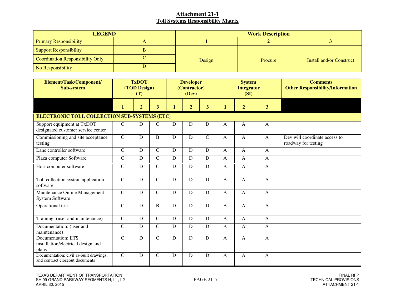| <b>LEGEND</b>                    | <b>Work Description</b> |         |                                 |  |  |  |
|----------------------------------|-------------------------|---------|---------------------------------|--|--|--|
| <b>Primary Responsibility</b>    |                         |         |                                 |  |  |  |
| <b>Support Responsibility</b>    |                         |         |                                 |  |  |  |
| Coordination Responsibility Only | Design                  | Procure | <b>Install and/or Construct</b> |  |  |  |
| No Responsibility                |                         |         |                                 |  |  |  |

| Element/Task/Component/<br>Sub-system                                      | <b>TxDOT</b><br>(TOD Design)<br>(T)                 |                |              | <b>Developer</b><br>(Contractor)<br>(Dev) |                |                | <b>System</b><br><b>Integrator</b><br>(SI) |                | <b>Comments</b><br><b>Other Responsibility/Information</b> |                                                      |  |
|----------------------------------------------------------------------------|-----------------------------------------------------|----------------|--------------|-------------------------------------------|----------------|----------------|--------------------------------------------|----------------|------------------------------------------------------------|------------------------------------------------------|--|
|                                                                            | $\mathbf{1}$                                        | $\overline{2}$ | 3            | $\mathbf{1}$                              | $\overline{2}$ | 3 <sup>5</sup> | 1                                          | $\overline{2}$ | 3 <sup>1</sup>                                             |                                                      |  |
|                                                                            | <b>ELECTRONIC TOLL COLLECTION SUB-SYSTEMS (ETC)</b> |                |              |                                           |                |                |                                            |                |                                                            |                                                      |  |
| Support equipment at TxDOT<br>designated customer service center           | $\mathbf C$                                         | D              | $\mathsf{C}$ | ${\bf D}$                                 | D              | D              | A                                          | A              | $\mathbf{A}$                                               |                                                      |  |
| Commissioning and site acceptance<br>testing                               | $\overline{C}$                                      | $\mathbf D$    | $\, {\bf B}$ | ${\bf D}$                                 | D              | $\mathsf{C}$   | $\mathbf{A}$                               | $\mathbf{A}$   | $\mathbf{A}$                                               | Dev will coordinate access to<br>roadway for testing |  |
| Lane controller software                                                   | $\mathbf C$                                         | D              | $\mathbf C$  | D                                         | D              | D              | A                                          | $\mathbf{A}$   | $\mathbf{A}$                                               |                                                      |  |
| Plaza computer Software                                                    | $\mathcal{C}$                                       | D              | $\mathbf C$  | D                                         | D              | D              | $\mathbf{A}$                               | A              | $\mathbf{A}$                                               |                                                      |  |
| Host computer software                                                     | $\mathcal{C}$                                       | D              | $\mathbf C$  | ${\bf D}$                                 | D              | D              | $\mathbf{A}$                               | $\mathbf{A}$   | $\mathbf{A}$                                               |                                                      |  |
| Toll collection system application<br>software                             | $\mathbf C$                                         | D              | $\mathsf{C}$ | D                                         | D              | D              | $\mathbf{A}$                               | $\mathbf{A}$   | $\mathbf{A}$                                               |                                                      |  |
| Maintenance Online Management<br><b>System Software</b>                    | $\overline{C}$                                      | $\mathbf D$    | $\mathbf C$  | D                                         | D              | D              | $\mathbf{A}$                               | $\mathbf{A}$   | $\mathbf{A}$                                               |                                                      |  |
| Operational test                                                           | $\mathbf C$                                         | D              | $\bf{B}$     | D                                         | D              | D              | $\mathsf{A}$                               | A              | $\mathbf{A}$                                               |                                                      |  |
| Training: (user and maintenance)                                           | $\mathsf{C}$                                        | D              | $\mathbf C$  | ${\bf D}$                                 | D              | D              | $\mathbf{A}$                               | $\mathbf{A}$   | $\mathbf{A}$                                               |                                                      |  |
| Documentation: (user and<br>maintenance)                                   | $\mathbf C$                                         | D              | $\mathbf C$  | D                                         | D              | D              | $\mathbf{A}$                               | $\mathbf{A}$   | $\mathbf{A}$                                               |                                                      |  |
| <b>Documentation: ETS</b><br>installation/electrical design and<br>plans   | $\mathbf C$                                         | $\mathbf D$    | $\mathbf C$  | ${\bf D}$                                 | D              | D              | $\mathbf{A}$                               | $\mathbf{A}$   | $\mathbf{A}$                                               |                                                      |  |
| Documentation: civil as-built drawings,<br>and contract closeout documents | $\mathcal{C}$                                       | D              | $\mathbf C$  | D                                         | D              | D              | $\mathsf{A}$                               | $\mathsf{A}$   | $\mathbf{A}$                                               |                                                      |  |